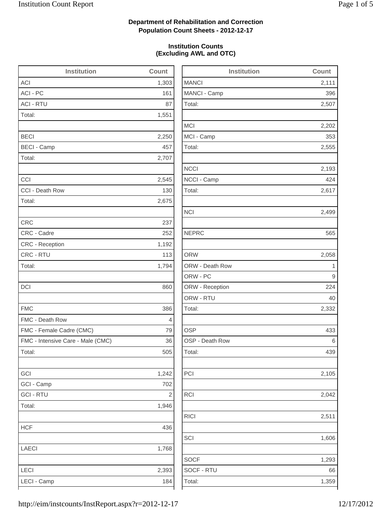2,202

2,555

2,193

2,332

2,105

2,042

1,606

1,293

### **Department of Rehabilitation and Correction Population Count Sheets - 2012-12-17**

### **Institution Counts (Excluding AWL and OTC)**

| <b>Institution</b>                | Count      | <b>Institution</b> | Count                   |
|-----------------------------------|------------|--------------------|-------------------------|
| <b>ACI</b>                        | 1,303      | <b>MANCI</b>       | 2,111                   |
| ACI - PC                          | 161        | MANCI - Camp       | 396                     |
| <b>ACI - RTU</b>                  | 87         | Total:             | 2,507                   |
| Total:                            | 1,551      |                    |                         |
|                                   |            | <b>MCI</b>         | 2,202                   |
| <b>BECI</b>                       | 2,250      | MCI - Camp         | 353                     |
| <b>BECI - Camp</b>                | 457        | Total:             | 2,555                   |
| Total:                            | 2,707      |                    |                         |
|                                   |            | <b>NCCI</b>        | 2,193                   |
| CCI                               | 2,545      | NCCI - Camp        | 424                     |
| CCI - Death Row                   | 130        | Total:             | 2,617                   |
| Total:                            | 2,675      |                    |                         |
|                                   |            | <b>NCI</b>         | 2,499                   |
| <b>CRC</b>                        | 237        |                    |                         |
| CRC - Cadre                       | 252        | <b>NEPRC</b>       | 565                     |
| CRC - Reception                   | 1,192      |                    |                         |
| CRC - RTU                         | 113        | <b>ORW</b>         | 2,058                   |
| Total:                            | 1,794      | ORW - Death Row    | $\overline{\mathbf{1}}$ |
|                                   |            | ORW - PC           | 9                       |
| DCI                               | 860        | ORW - Reception    | 224                     |
|                                   |            | ORW - RTU          | 40                      |
| <b>FMC</b>                        | 386        | Total:             | 2,332                   |
| FMC - Death Row                   | 4          |                    |                         |
| FMC - Female Cadre (CMC)          | 79         | <b>OSP</b>         | 433                     |
| FMC - Intensive Care - Male (CMC) | 36         | OSP - Death Row    | 6                       |
| Total:                            | 505        | Total:             | 439                     |
| GCI                               | 1,242      | PCI                | 2,105                   |
| GCI - Camp                        | 702        |                    |                         |
| <b>GCI - RTU</b>                  | $\sqrt{2}$ | RCI                | 2,042                   |
| Total:                            | 1,946      |                    |                         |
|                                   |            | <b>RICI</b>        | 2,511                   |
| <b>HCF</b>                        | 436        |                    |                         |
|                                   |            | SCI                | 1,606                   |
| LAECI                             | 1,768      |                    |                         |
|                                   |            | <b>SOCF</b>        | 1,293                   |
| LECI                              | 2,393      | SOCF - RTU         | 66                      |
| LECI - Camp                       | 184        | Total:             | 1,359                   |
|                                   |            |                    |                         |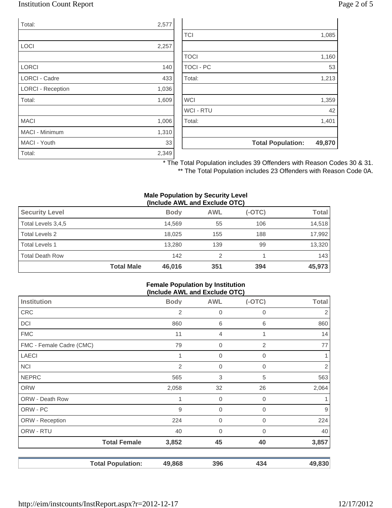### Institution Count Report Page 2 of 5

| Total:                   | 2,577 |
|--------------------------|-------|
|                          |       |
| <b>LOCI</b>              | 2,257 |
|                          |       |
| <b>LORCI</b>             | 140   |
| <b>LORCI - Cadre</b>     | 433   |
| <b>LORCI - Reception</b> | 1,036 |
| Total:                   | 1,609 |
|                          |       |
| <b>MACI</b>              | 1,006 |
| <b>MACI - Minimum</b>    | 1,310 |
| MACI - Youth             | 33    |
| Total:                   | 2,349 |

| <b>TCI</b>       |                          | 1,085  |
|------------------|--------------------------|--------|
|                  |                          |        |
| <b>TOCI</b>      |                          | 1,160  |
| <b>TOCI - PC</b> |                          | 53     |
| Total:           |                          | 1,213  |
|                  |                          |        |
| <b>WCI</b>       |                          | 1,359  |
| <b>WCI - RTU</b> |                          | 42     |
| Total:           |                          | 1,401  |
|                  |                          |        |
|                  | <b>Total Population:</b> | 49,870 |

\* The Total Population includes 39 Offenders with Reason Codes 30 & 31.

\*\* The Total Population includes 23 Offenders with Reason Code 0A.

#### **Male Population by Security Level (Include AWL and Exclude OTC)**

| <b>Security Level</b>  |                   | <b>Body</b> | <b>AWL</b> | $(-OTC)$ | <b>Total</b> |
|------------------------|-------------------|-------------|------------|----------|--------------|
| Total Levels 3,4,5     |                   | 14.569      | 55         | 106      | 14,518       |
| Total Levels 2         |                   | 18.025      | 155        | 188      | 17,992       |
| <b>Total Levels 1</b>  |                   | 13.280      | 139        | 99       | 13,320       |
| <b>Total Death Row</b> |                   | 142         | 2          |          | 143          |
|                        | <b>Total Male</b> | 46,016      | 351        | 394      | 45,973       |

#### **Female Population by Institution (Include AWL and Exclude OTC)**

| Institution              | <b>Body</b>    | <b>AWL</b>  | - -<br>$(-OTC)$ | <b>Total</b>     |
|--------------------------|----------------|-------------|-----------------|------------------|
|                          |                |             |                 |                  |
| <b>CRC</b>               | 2              | 0           | 0               | 2                |
| <b>DCI</b>               | 860            | 6           | 6               | 860              |
| <b>FMC</b>               | 11             | 4           | 1               | 14               |
| FMC - Female Cadre (CMC) | 79             | $\mathbf 0$ | 2               | 77               |
| <b>LAECI</b>             | 1              | 0           | 0               | 1                |
| <b>NCI</b>               | $\overline{2}$ | $\mathbf 0$ | 0               | $\overline{2}$   |
| <b>NEPRC</b>             | 565            | 3           | 5               | 563              |
| <b>ORW</b>               | 2,058          | 32          | 26              | 2,064            |
| ORW - Death Row          |                | $\mathbf 0$ | 0               | 1                |
| ORW - PC                 | 9              | $\mathbf 0$ | 0               | $\boldsymbol{9}$ |
| ORW - Reception          | 224            | $\mathbf 0$ | 0               | 224              |
| ORW - RTU                | 40             | 0           | 0               | 40               |
| <b>Total Female</b>      | 3,852          | 45          | 40              | 3,857            |
| <b>Total Population:</b> | 49,868         | 396         | 434             | 49,830           |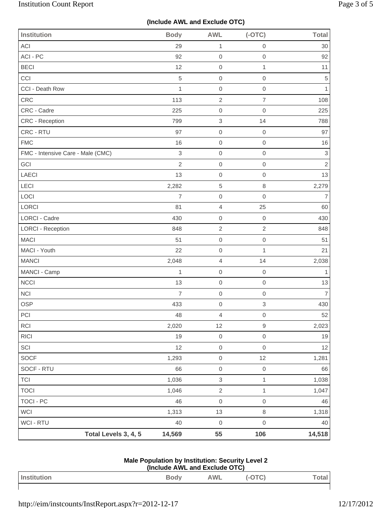# **(Include AWL and Exclude OTC)**

| <b>Institution</b>                | <b>Body</b>    | <b>AWL</b>                | $(-OTC)$                  | <b>Total</b>   |
|-----------------------------------|----------------|---------------------------|---------------------------|----------------|
| <b>ACI</b>                        | 29             | $\mathbf{1}$              | $\mathbf 0$               | 30             |
| ACI - PC                          | 92             | $\mathbf 0$               | $\mathbf 0$               | 92             |
| <b>BECI</b>                       | 12             | $\mathbf 0$               | $\mathbf{1}$              | 11             |
| CCI                               | $\sqrt{5}$     | $\mathsf 0$               | $\mathbf 0$               | 5              |
| CCI - Death Row                   | $\mathbf{1}$   | $\,0\,$                   | $\mbox{O}$                | 1              |
| CRC                               | 113            | $\sqrt{2}$                | $\overline{7}$            | 108            |
| CRC - Cadre                       | 225            | $\mathbf 0$               | 0                         | 225            |
| CRC - Reception                   | 799            | $\,$ 3 $\,$               | 14                        | 788            |
| CRC - RTU                         | 97             | $\mathbf 0$               | $\mathbf 0$               | 97             |
| <b>FMC</b>                        | 16             | $\,0\,$                   | $\mathbf 0$               | 16             |
| FMC - Intensive Care - Male (CMC) | $\,$ 3 $\,$    | $\mathbf 0$               | $\mathbf 0$               | $\sqrt{3}$     |
| GCI                               | $\overline{2}$ | $\mbox{O}$                | $\mathbf 0$               | $\sqrt{2}$     |
| <b>LAECI</b>                      | 13             | $\mathbf 0$               | $\mbox{O}$                | 13             |
| LECI                              | 2,282          | $\,$ 5 $\,$               | $\,8\,$                   | 2,279          |
| LOCI                              | $\overline{7}$ | $\,0\,$                   | $\mathbf 0$               | $\overline{7}$ |
| LORCI                             | 81             | $\overline{4}$            | 25                        | 60             |
| LORCI - Cadre                     | 430            | $\mathbf 0$               | $\mathbf 0$               | 430            |
| <b>LORCI - Reception</b>          | 848            | $\sqrt{2}$                | $\sqrt{2}$                | 848            |
| <b>MACI</b>                       | 51             | $\mathbf 0$               | $\mathbf 0$               | 51             |
| MACI - Youth                      | 22             | $\,0\,$                   | $\mathbf{1}$              | 21             |
| <b>MANCI</b>                      | 2,048          | $\overline{4}$            | 14                        | 2,038          |
| MANCI - Camp                      | $\mathbf{1}$   | $\mathbf 0$               | $\mathbf 0$               | 1              |
| <b>NCCI</b>                       | 13             | $\mathbf 0$               | $\mbox{O}$                | 13             |
| <b>NCI</b>                        | $\overline{7}$ | $\mathbf 0$               | $\mathbf 0$               | $\overline{7}$ |
| <b>OSP</b>                        | 433            | $\mathbf 0$               | $\ensuremath{\mathsf{3}}$ | 430            |
| PCI                               | 48             | $\overline{4}$            | $\mathsf{O}\xspace$       | $52 \mid$      |
| RCI                               | 2,020          | 12                        | $\hbox{9}$                | 2,023          |
| RICI                              | 19             | $\mathsf{O}\xspace$       | $\mathsf{O}\xspace$       | 19             |
| SCI                               | 12             | $\mathsf{O}\xspace$       | $\mathbf 0$               | 12             |
| SOCF                              | 1,293          | $\mathsf{O}\xspace$       | 12                        | 1,281          |
| SOCF - RTU                        | 66             | $\mathsf{O}\xspace$       | $\,0\,$                   | 66             |
| <b>TCI</b>                        | 1,036          | $\ensuremath{\mathsf{3}}$ | $\mathbf{1}$              | 1,038          |
| <b>TOCI</b>                       | 1,046          | $\sqrt{2}$                | $\mathbf{1}$              | 1,047          |
| <b>TOCI - PC</b>                  | 46             | $\mathbf 0$               | $\mathsf{O}\xspace$       | 46             |
| <b>WCI</b>                        | 1,313          | 13                        | $\,8\,$                   | 1,318          |
| WCI - RTU                         | 40             | $\mathbf 0$               | $\mathsf{O}\xspace$       | 40             |
| Total Levels 3, 4, 5              | 14,569         | 55                        | 106                       | 14,518         |

| Male Population by Institution: Security Level 2 |
|--------------------------------------------------|
| (Include AWL and Exclude OTC)                    |

| Institution | <b>Body</b> | <b>AWL</b> | $T^{\wedge}$<br>ັ<br>$\tilde{\phantom{a}}$ | rta |
|-------------|-------------|------------|--------------------------------------------|-----|
|             |             |            |                                            |     |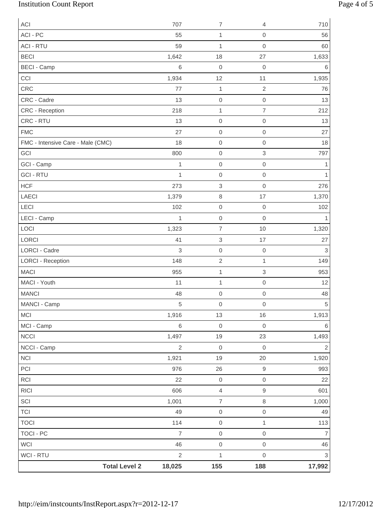# Institution Count Report Page 4 of 5

| ACI                               | 707            | $\overline{7}$            | 4                   | 710            |
|-----------------------------------|----------------|---------------------------|---------------------|----------------|
| ACI - PC                          | 55             | 1                         | $\mathbf 0$         | 56             |
| <b>ACI - RTU</b>                  | 59             | 1                         | $\mathbf 0$         | 60             |
| <b>BECI</b>                       | 1,642          | 18                        | 27                  | 1,633          |
| <b>BECI - Camp</b>                | 6              | $\mathbf 0$               | $\boldsymbol{0}$    | 6              |
| CCI                               | 1,934          | 12                        | 11                  | 1,935          |
| CRC                               | 77             | 1                         | $\sqrt{2}$          | 76             |
| CRC - Cadre                       | 13             | $\mathbf 0$               | $\mathbf 0$         | 13             |
| CRC - Reception                   | 218            | 1                         | $\overline{7}$      | 212            |
| CRC - RTU                         | 13             | $\mathbf 0$               | $\mathbf 0$         | 13             |
| <b>FMC</b>                        | 27             | $\mbox{O}$                | $\mathbf 0$         | 27             |
| FMC - Intensive Care - Male (CMC) | 18             | $\mbox{O}$                | $\mathbf 0$         | 18             |
| GCI                               | 800            | $\mathbf 0$               | 3                   | 797            |
| GCI - Camp                        | 1              | $\mathbf 0$               | $\mathbf 0$         | 1              |
| <b>GCI - RTU</b>                  | 1              | $\mathbf 0$               | $\mathbf 0$         | 1              |
| <b>HCF</b>                        | 273            | $\ensuremath{\mathsf{3}}$ | $\mathbf 0$         | 276            |
| <b>LAECI</b>                      | 1,379          | $\,8\,$                   | 17                  | 1,370          |
| LECI                              | 102            | $\mathbf 0$               | $\boldsymbol{0}$    | 102            |
| LECI - Camp                       | $\mathbf{1}$   | $\mathbf 0$               | $\mathsf{O}\xspace$ | 1              |
| LOCI                              | 1,323          | $\overline{7}$            | 10                  | 1,320          |
| LORCI                             | 41             | $\ensuremath{\mathsf{3}}$ | 17                  | 27             |
| LORCI - Cadre                     | 3              | $\mbox{O}$                | $\mathbf 0$         | 3              |
| <b>LORCI - Reception</b>          | 148            | $\overline{2}$            | $\mathbf{1}$        | 149            |
| <b>MACI</b>                       | 955            | $\mathbf{1}$              | 3                   | 953            |
| MACI - Youth                      | 11             | 1                         | $\mathbf 0$         | 12             |
| <b>MANCI</b>                      | 48             | $\mathsf{O}\xspace$       | $\mbox{O}$          | 48             |
| MANCI - Camp                      | 5              | $\mathbf 0$               | $\mathbf 0$         | 5              |
| MCI                               | 1,916          | 13                        | 16                  | 1,913          |
| MCI - Camp                        | $\,6$          | $\mathbf 0$               | $\mathbf 0$         | 6              |
| NCCI                              | 1,497          | $19$                      | 23                  | 1,493          |
| NCCI - Camp                       | $\overline{2}$ | $\mathbf 0$               | $\mathbf 0$         | $\overline{2}$ |
| NCI                               | 1,921          | 19                        | 20                  | 1,920          |
| PCI                               | 976            | 26                        | $\boldsymbol{9}$    | 993            |
| RCI                               | 22             | $\mbox{O}$                | $\mbox{O}$          | 22             |
| R C                               | 606            | $\overline{4}$            | $\hbox{9}$          | 601            |
| SCI                               | 1,001          | $\overline{7}$            | $\,8\,$             | 1,000          |
| <b>TCI</b>                        | 49             | $\mathsf{O}\xspace$       | $\mbox{O}$          | 49             |
| <b>TOCI</b>                       | 114            | $\mathsf{O}\xspace$       | $\mathbf{1}$        | 113            |
| <b>TOCI - PC</b>                  | $\overline{7}$ | $\mathbf 0$               | $\mathbf 0$         | $\overline{7}$ |
| <b>WCI</b>                        | 46             | $\mathsf{O}\xspace$       | $\mathbf 0$         | 46             |
| <b>WCI - RTU</b>                  | $\sqrt{2}$     | $\mathbf{1}$              | $\mathbf 0$         | $\mathfrak{S}$ |
| <b>Total Level 2</b>              | 18,025         | 155                       | 188                 | 17,992         |